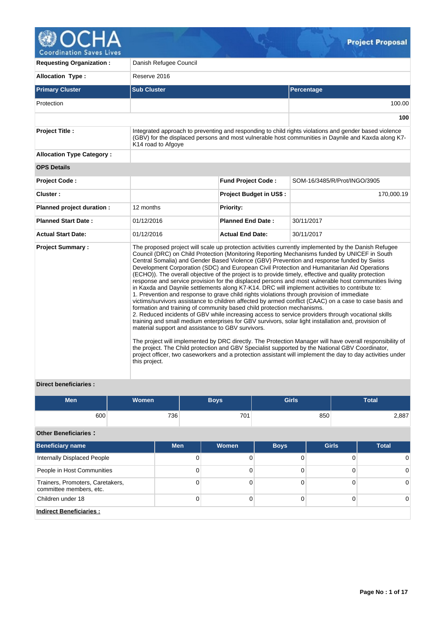

**Requesting Organization :** Danish Refugee Council **Allocation Type :** Reserve 2016 **Primary Cluster Sub Cluster Sub Cluster** Sub Cluster Sub Cluster Sub Cluster Sub Cluster Sub Cluster Sub Cluster Protection 100.00 **100 Project Title :** Integrated approach to preventing and responding to child rights violations and gender based violence (GBV) for the displaced persons and most vulnerable host communities in Daynile and Kaxda along K7- K14 road to Afgoye **Allocation Type Category : OPS Details Project Code : Fund Project Code :** SOM-16/3485/R/Prot/INGO/3905 **Cluster :** 170,000.19 **Planned project duration :** 12 months **Planned Priority: Planned Start Date :** 01/12/2016 **Planned End Date :** 30/11/2017 **Actual Start Date:** 01/12/2016 **Actual End Date:** 30/11/2017 **Project Summary :** The proposed project will scale up protection activities currently implemented by the Danish Refugee Council (DRC) on Child Protection (Monitoring Reporting Mechanisms funded by UNICEF in South Central Somalia) and Gender Based Violence (GBV) Prevention and response funded by Swiss Development Corporation (SDC) and European Civil Protection and Humanitarian Aid Operations (ECHO)). The overall objective of the project is to provide timely, effective and quality protection response and service provision for the displaced persons and most vulnerable host communities living in Kaxda and Daynile settlements along K7-K14. DRC will implement activities to contribute to: 1. Prevention and response to grave child rights violations through provision of immediate victims/survivors assistance to children affected by armed conflict (CAAC) on a case to case basis and formation and training of community based child protection mechanisms. 2. Reduced incidents of GBV while increasing access to service providers through vocational skills training and small medium enterprises for GBV survivors, solar light installation and, provision of material support and assistance to GBV survivors. The project will implemented by DRC directly. The Protection Manager will have overall responsibility of the project. The Child protection and GBV Specialist supported by the National GBV Coordinator, project officer, two caseworkers and a protection assistant will implement the day to day activities under this project.

## **Direct beneficiaries :**

| Men <sup>1</sup> | <b>Women</b> | Boys' | <b>Girls</b> | Total |
|------------------|--------------|-------|--------------|-------|
| 600              | 736          | 701   | 850          | 2,887 |

## **Other Beneficiaries :**

| <b>Beneficiary name</b>                                     | <b>Men</b> | Women | <b>Boys</b> | <b>Girls</b> | <b>Total</b> |
|-------------------------------------------------------------|------------|-------|-------------|--------------|--------------|
| Internally Displaced People                                 |            |       |             |              |              |
| People in Host Communities                                  | 0          |       |             |              | 0            |
| Trainers, Promoters, Caretakers,<br>committee members, etc. | 0          |       |             |              | 0            |
| Children under 18                                           | 0          |       |             |              |              |
| <b>Indirect Beneficiaries:</b>                              |            |       |             |              |              |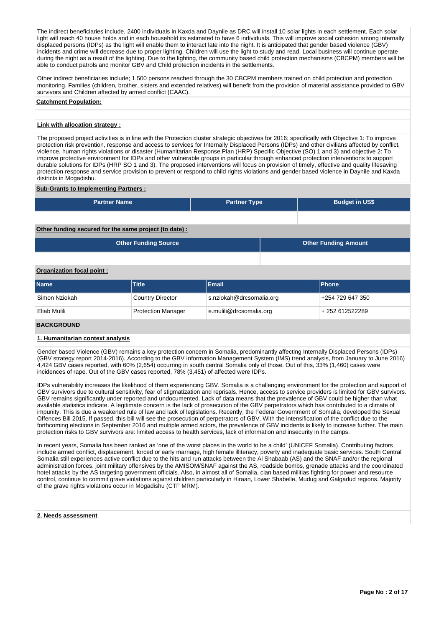The indirect beneficiaries include, 2400 individuals in Kaxda and Daynile as DRC will install 10 solar lights in each settlement. Each solar light will reach 40 house holds and in each household its estimated to have 6 individuals. This will improve social cohesion among internally displaced persons (IDPs) as the light will enable them to interact late into the night. It is anticipated that gender based violence (GBV) incidents and crime will decrease due to proper lighting. Children will use the light to study and read. Local business will continue operate during the night as a result of the lighting. Due to the lighting, the community based child protection mechanisms (CBCPM) members will be able to conduct patrols and monitor GBV and Child protection incidents in the settlements.

Other indirect beneficiaries include; 1,500 persons reached through the 30 CBCPM members trained on child protection and protection monitoring. Families (children, brother, sisters and extended relatives) will benefit from the provision of material assistance provided to GBV survivors and Children affected by armed conflict (CAAC).

#### **Catchment Population:**

## **Link with allocation strategy :**

The proposed project activities is in line with the Protection cluster strategic objectives for 2016; specifically with Objective 1: To improve protection risk prevention, response and access to services for Internally Displaced Persons (IDPs) and other civilians affected by conflict, violence, human rights violations or disaster (Humanitarian Response Plan (HRP) Specific Objective (SO) 1 and 3) and objective 2: To improve protective environment for IDPs and other vulnerable groups in particular through enhanced protection interventions to support durable solutions for IDPs (HRP SO 1 and 3). The proposed interventions will focus on provision of timely, effective and quality lifesaving protection response and service provision to prevent or respond to child rights violations and gender based violence in Daynile and Kaxda districts in Mogadishu.

## **Sub-Grants to Implementing Partners :**

| <b>Partner Name</b>                                   | <b>Partner Type</b> | <b>Budget in US\$</b> |
|-------------------------------------------------------|---------------------|-----------------------|
|                                                       |                     |                       |
| Other funding secured for the same project (to date): |                     |                       |

| <b>Other Funding Source</b> | <b>Other Funding Amount</b> |
|-----------------------------|-----------------------------|
|                             |                             |

## **Organization focal point :**

| <b>Name</b>       | Title                     | Email                    | <b>IPhone</b>    |
|-------------------|---------------------------|--------------------------|------------------|
| Simon Nziokah     | Country Director          | s.nziokah@drcsomalia.org | +254 729 647 350 |
| Eliab Mulili      | <b>Protection Manager</b> | e.mulili@drcsomalia.org  | + 252 612522289  |
| <b>DACKODOUND</b> |                           |                          |                  |

## **BACKGROUND**

#### **1. Humanitarian context analysis**

Gender based Violence (GBV) remains a key protection concern in Somalia, predominantly affecting Internally Displaced Persons (IDPs) (GBV strategy report 2014-2016). According to the GBV Information Management System (IMS) trend analysis, from January to June 2016) 4,424 GBV cases reported, with 60% (2,654) occurring in south central Somalia only of those. Out of this, 33% (1,460) cases were incidences of rape. Out of the GBV cases reported, 78% (3,451) of affected were IDPs.

IDPs vulnerability increases the likelihood of them experiencing GBV. Somalia is a challenging environment for the protection and support of GBV survivors due to cultural sensitivity, fear of stigmatization and reprisals. Hence, access to service providers is limited for GBV survivors. GBV remains significantly under reported and undocumented. Lack of data means that the prevalence of GBV could be higher than what available statistics indicate. A legitimate concern is the lack of prosecution of the GBV perpetrators which has contributed to a climate of impunity. This is due a weakened rule of law and lack of legislations. Recently, the Federal Government of Somalia, developed the Sexual Offences Bill 2015. If passed, this bill will see the prosecution of perpetrators of GBV. With the intensification of the conflict due to the forthcoming elections in September 2016 and multiple armed actors, the prevalence of GBV incidents is likely to increase further. The main protection risks to GBV survivors are: limited access to health services, lack of information and insecurity in the camps.

In recent years, Somalia has been ranked as 'one of the worst places in the world to be a child' (UNICEF Somalia). Contributing factors include armed conflict, displacement, forced or early marriage, high female illiteracy, poverty and inadequate basic services. South Central Somalia still experiences active conflict due to the hits and run attacks between the Al Shabaab (AS) and the SNAF and/or the regional administration forces, joint military offensives by the AMISOM/SNAF against the AS, roadside bombs, grenade attacks and the coordinated hotel attacks by the AS targeting government officials. Also, in almost all of Somalia, clan based militias fighting for power and resource control, continue to commit grave violations against children particularly in Hiraan, Lower Shabelle, Mudug and Galgadud regions. Majority of the grave rights violations occur in Mogadishu (CTF MRM).

## **2. Needs assessment**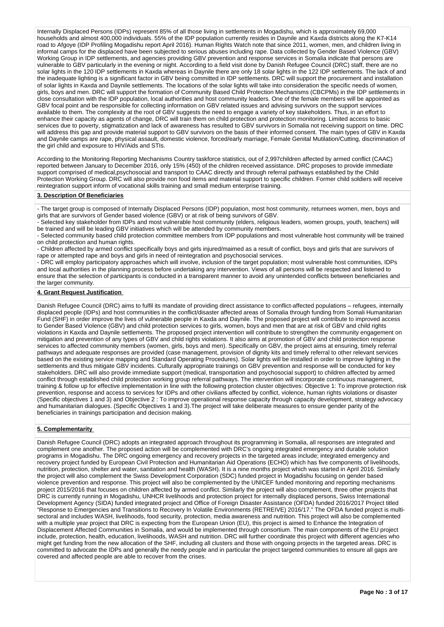Internally Displaced Persons (IDPs) represent 85% of all those living in settlements in Mogadishu, which is approximately 69,000 households and almost 400,000 individuals. 55% of the IDP population currently resides in Daynile and Kaxda districts along the K7-K14 road to Afgoye (IDP Profiling Mogadishu report April 2016). Human Rights Watch note that since 2011, women, men, and children living in informal camps for the displaced have been subjected to serious abuses including rape. Data collected by Gender Based Violence (GBV) Working Group in IDP settlements, and agencies providing GBV prevention and response services in Somalia indicate that persons are vulnerable to GBV particularly in the evening or night. According to a field visit done by Danish Refugee Council (DRC) staff, there are no solar lights in the 120 IDP settlements in Kaxda whereas in Daynile there are only 18 solar lights in the 122 IDP settlements. The lack of and the inadequate lighting is a significant factor in GBV being committed in IDP settlements. DRC will support the procurement and installation of solar lights in Kaxda and Daynile settlements. The locations of the solar lights will take into consideration the specific needs of women, girls, boys and men. DRC will support the formation of Community Based Child Protection Mechanisms (CBCPMs) in the IDP settlements in close consultation with the IDP population, local authorities and host community leaders. One of the female members will be appointed as GBV focal point and be responsible for collecting information on GBV related issues and advising survivors on the support services available to them. The complexity at the root of GBV suggests the need to engage a variety of key stakeholders. Thus, in an effort to enhance their capacity as agents of change, DRC will train them on child protection and protection monitoring. Limited access to basic services due to poverty, stigmatization and lack of awareness has resulted to GBV survivors in Somalia not receiving support on time. DRC will address this gap and provide material support to GBV survivors on the basis of their informed consent. The main types of GBV in Kaxda and Daynile camps are rape, physical assault, domestic violence, forced/early marriage, Female Genital Mutilation/Cutting, discrimination of the girl child and exposure to HIV/Aids and STIs.

According to the Monitoring Reporting Mechanisms Country taskforce statistics, out of 2,997children affected by armed conflict (CAAC) reported between January to December 2016, only 15% (450) of the children received assistance. DRC proposes to provide immediate support comprised of medical,psychosocial and transport to CAAC directly and through referral pathways established by the Child Protection Working Group. DRC will also provide non food items and material support to specific children. Former child soldiers will receive reintegration support inform of vocational skills training and small medium enterprise training.

## **3. Description Of Beneficiaries**

- The target group is composed of Internally Displaced Persons (IDP) population, most host community, returnees women, men, boys and girls that are survivors of Gender based violence (GBV) or at risk of being survivors of GBV.

-<br>- Selected key stakeholder from IDPs and most vulnerable host community (elders, religious leaders, women groups, youth, teachers) will be trained and will be leading GBV initiatives which will be attended by community members.

- Selected community based child protection committee members from IDP populations and most vulnerable host community will be trained on child protection and human rights.

- Children affected by armed conflict specifically boys and girls injured/maimed as a result of conflict, boys and girls that are survivors of rape or attempted rape and boys and girls in need of reintegration and psychosocial services.

- DRC will employ participatory approaches which will involve, inclusion of the target population; most vulnerable host communities, IDPs and local authorities in the planning process before undertaking any intervention. Views of all persons will be respected and listened to ensure that the selection of participants is conducted in a transparent manner to avoid any unintended conflicts between beneficiaries and the larger community.

## **4. Grant Request Justification**

Danish Refugee Council (DRC) aims to fulfil its mandate of providing direct assistance to conflict-affected populations – refugees, internally displaced people (IDPs) and host communities in the conflict/disaster affected areas of Somalia through funding from Somali Humanitarian Fund (SHF) in order improve the lives of vulnerable people in Kaxda and Daynile. The proposed project will contribute to improved access to Gender Based Violence (GBV) and child protection services to girls, women, boys and men that are at risk of GBV and child rights violations in Kaxda and Daynile settlements. The proposed project intervention will contribute to strengthen the community engagement on mitigation and prevention of any types of GBV and child rights violations. It also aims at promotion of GBV and child protection response services to affected community members (women, girls, boys and men). Specifically on GBV, the project aims at ensuring, timely referral pathways and adequate responses are provided (case management, provision of dignity kits and timely referral to other relevant services based on the existing service mapping and Standard Operating Procedures). Solar lights will be installed in order to improve lighting in the settlements and thus mitigate GBV incidents. Culturally appropriate trainings on GBV prevention and response will be conducted for key stakeholders. DRC will also provide immediate support (medical, transportation and psychosocial support) to children affected by armed conflict through established child protection working group referral pathways. The intervention will incorporate continuous management, training & follow up for effective implementation in line with the following protection cluster objectives: Objective 1: To improve protection risk prevention, response and access to services for IDPs and other civilians affected by conflict, violence, human rights violations or disaster (Specific objectives 1 and 3) and Objective 2 : To improve operational response capacity through capacity development, strategy advocacy and humanitarian dialogues. (Specific Objectives 1 and 3).The project will take deliberate measures to ensure gender parity of the beneficiaries in trainings participation and decision making.

## **5. Complementarity**

Danish Refugee Council (DRC) adopts an integrated approach throughout its programming in Somalia, all responses are integrated and complement one another. The proposed action will be complemented with DRC's ongoing integrated emergency and durable solution programs in Mogadishu. The DRC ongoing emergency and recovery projects in the targeted areas include; integrated emergency and recovery project funded by European Civil Protection and Humanitarian Aid Operations (ECHO) which has five components of livelihoods, nutrition, protection, shelter and water, sanitation and health (WASH). It is a nine months project which was started in April 2016. Similarly the project will also complement the Swiss Development Corporation (SDC) funded project in Mogadishu focusing on gender based violence prevention and response. This project will also be complemented by the UNICEF funded monitoring and reporting mechanisms project 2015/2016 that focuses on children affected by armed conflict. Similarly the project will also complement, three other projects that DRC is currently running in Mogadishu, UNHCR livelihoods and protection project for internally displaced persons, Swiss International Development Agency (SIDA) funded integrated project and Office of Foreign Disaster Assistance (OFDA) funded 2016/2017 Project titled "Response to Emergencies and Transitions to Recovery In Volatile Environments (RETREIVE) 2016/17." The OFDA funded project is multisectoral and includes WASH, livelihoods, food security, protection, media awareness and nutrition. This project will also be complemented with a multiple year project that DRC is expecting from the European Union (EU), this project is aimed to Enhance the Integration of Displacement Affected Communities in Somalia, and would be implemented through consortium. The main components of the EU project include, protection, health, education, livelihoods, WASH and nutrition. DRC will further coordinate this project with different agencies who might get funding from the new allocation of the SHF, including all clusters and those with ongoing projects in the targeted areas. DRC is committed to advocate the IDPs and generally the needy people and in particular the project targeted communities to ensure all gaps are covered and affected people are able to recover from the crises.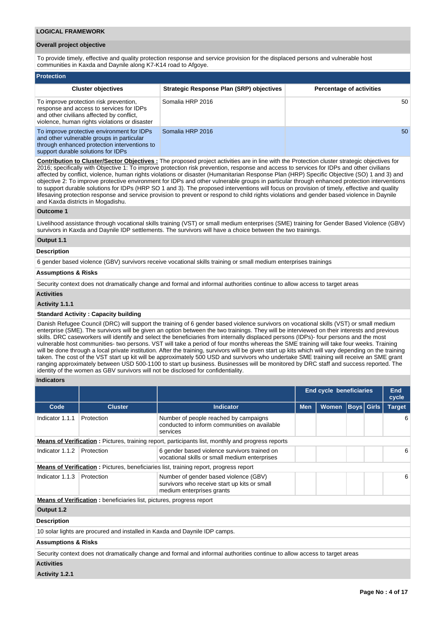## **Overall project objective**

To provide timely, effective and quality protection response and service provision for the displaced persons and vulnerable host communities in Kaxda and Daynile along K7-K14 road to Afgoye.

| <b>Protection</b>                                                                                                                                                                |                                                 |                                 |  |  |  |  |  |  |  |  |
|----------------------------------------------------------------------------------------------------------------------------------------------------------------------------------|-------------------------------------------------|---------------------------------|--|--|--|--|--|--|--|--|
| <b>Cluster objectives</b>                                                                                                                                                        | <b>Strategic Response Plan (SRP) objectives</b> | <b>Percentage of activities</b> |  |  |  |  |  |  |  |  |
| To improve protection risk prevention,<br>response and access to services for IDPs<br>and other civilians affected by conflict,<br>violence, human rights violations or disaster | Somalia HRP 2016                                | 50                              |  |  |  |  |  |  |  |  |
| To improve protective environment for IDPs<br>and other vulnerable groups in particular<br>through enhanced protection interventions to<br>support durable solutions for IDPs    | Somalia HRP 2016                                | 50                              |  |  |  |  |  |  |  |  |

**Contribution to Cluster/Sector Objectives :** The proposed project activities are in line with the Protection cluster strategic objectives for 2016; specifically with Objective 1: To improve protection risk prevention, response and access to services for IDPs and other civilians affected by conflict, violence, human rights violations or disaster (Humanitarian Response Plan (HRP) Specific Objective (SO) 1 and 3) and objective 2: To improve protective environment for IDPs and other vulnerable groups in particular through enhanced protection interventions to support durable solutions for IDPs (HRP SO 1 and 3). The proposed interventions will focus on provision of timely, effective and quality lifesaving protection response and service provision to prevent or respond to child rights violations and gender based violence in Daynile and Kaxda districts in Mogadishu.

#### **Outcome 1**

Livelihood assistance through vocational skills training (VST) or small medium enterprises (SME) training for Gender Based Violence (GBV) survivors in Kaxda and Daynile IDP settlements. The survivors will have a choice between the two trainings.

## **Output 1.1**

## **Description**

6 gender based violence (GBV) survivors receive vocational skills training or small medium enterprises trainings

## **Assumptions & Risks**

Security context does not dramatically change and formal and informal authorities continue to allow access to target areas

#### **Activities**

## **Activity 1.1.1**

## **Standard Activity : Capacity building**

Danish Refugee Council (DRC) will support the training of 6 gender based violence survivors on vocational skills (VST) or small medium enterprise (SME). The survivors will be given an option between the two trainings. They will be interviewed on their interests and previous skills. DRC caseworkers will identify and select the beneficiaries from internally displaced persons (IDPs)- four persons and the most vulnerable host communities- two persons. VST will take a period of four months whereas the SME training will take four weeks. Training will be done through a local private institution. After the training, survivors will be given start up kits which will vary depending on the training taken. The cost of the VST start up kit will be approximately 500 USD and survivors who undertake SME training will receive an SME grant ranging approximately between USD 500-1100 to start up business. Businesses will be monitored by DRC staff and success reported. The identity of the women as GBV survivors will not be disclosed for confidentiality.

## **Indicators**

|                                |                                                                                                                            |                                                                                                                    | <b>End cycle beneficiaries</b> |              |  |                   | <b>End</b><br>cycle |  |
|--------------------------------|----------------------------------------------------------------------------------------------------------------------------|--------------------------------------------------------------------------------------------------------------------|--------------------------------|--------------|--|-------------------|---------------------|--|
| Code                           | <b>Cluster</b>                                                                                                             | <b>Indicator</b>                                                                                                   | <b>Men</b>                     | <b>Women</b> |  | <b>Boys Girls</b> | <b>Target</b>       |  |
| Indicator 1.1.1                | Protection                                                                                                                 | Number of people reached by campaigns<br>conducted to inform communities on available<br>services                  |                                |              |  |                   | 6                   |  |
|                                |                                                                                                                            | <b>Means of Verification</b> : Pictures, training report, participants list, monthly and progress reports          |                                |              |  |                   |                     |  |
| Indicator 1.1.2                | Protection                                                                                                                 | 6 gender based violence survivors trained on<br>vocational skills or small medium enterprises                      |                                |              |  |                   | 6                   |  |
|                                |                                                                                                                            | <b>Means of Verification:</b> Pictures, beneficiaries list, training report, progress report                       |                                |              |  |                   |                     |  |
| Indicator 1.1.3                | Protection                                                                                                                 | Number of gender based violence (GBV)<br>survivors who receive start up kits or small<br>medium enterprises grants |                                |              |  |                   | 6                   |  |
|                                | <b>Means of Verification:</b> beneficiaries list, pictures, progress report                                                |                                                                                                                    |                                |              |  |                   |                     |  |
| Output 1.2                     |                                                                                                                            |                                                                                                                    |                                |              |  |                   |                     |  |
| <b>Description</b>             |                                                                                                                            |                                                                                                                    |                                |              |  |                   |                     |  |
|                                |                                                                                                                            | 10 solar lights are procured and installed in Kaxda and Daynile IDP camps.                                         |                                |              |  |                   |                     |  |
| <b>Assumptions &amp; Risks</b> |                                                                                                                            |                                                                                                                    |                                |              |  |                   |                     |  |
|                                | Security context does not dramatically change and formal and informal authorities continue to allow access to target areas |                                                                                                                    |                                |              |  |                   |                     |  |
| <b>Activities</b>              |                                                                                                                            |                                                                                                                    |                                |              |  |                   |                     |  |

## **Activity 1.2.1**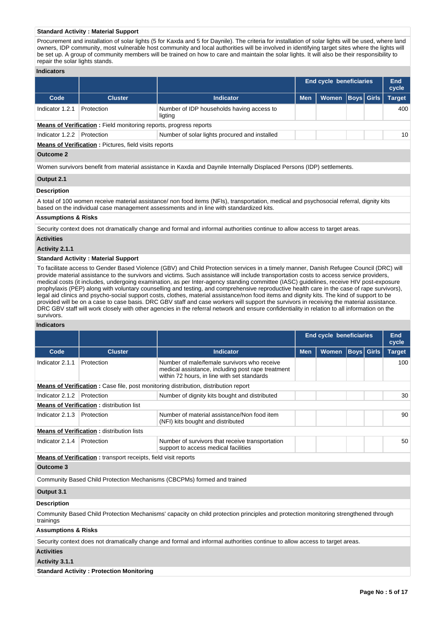## **Standard Activity : Material Support**

Procurement and installation of solar lights (5 for Kaxda and 5 for Daynile). The criteria for installation of solar lights will be used, where land owners, IDP community, most vulnerable host community and local authorities will be involved in identifying target sites where the lights will be set up. A group of community members will be trained on how to care and maintain the solar lights. It will also be their responsibility to repair the solar lights stands.

## **Indicators**

|                 |                                                                          |                                                      | <b>End cycle beneficiaries</b> |       |  | End<br>cycle      |               |  |  |  |
|-----------------|--------------------------------------------------------------------------|------------------------------------------------------|--------------------------------|-------|--|-------------------|---------------|--|--|--|
| Code            | <b>Cluster</b>                                                           | <b>Indicator</b>                                     | <b>Men</b>                     | Women |  | <b>Boys Girls</b> | <b>Target</b> |  |  |  |
| Indicator 1.2.1 | Protection                                                               | Number of IDP households having access to<br>ligting |                                |       |  |                   | 400           |  |  |  |
|                 | <b>Means of Verification:</b> Field monitoring reports, progress reports |                                                      |                                |       |  |                   |               |  |  |  |
| Indicator 1.2.2 | Protection                                                               | Number of solar lights procured and installed        |                                |       |  |                   | 10            |  |  |  |
|                 | <b>Means of Verification: Pictures, field visits reports</b>             |                                                      |                                |       |  |                   |               |  |  |  |

# **Outcome 2**

Women survivors benefit from material assistance in Kaxda and Daynile Internally Displaced Persons (IDP) settlements.

#### **Output 2.1**

## **Description**

A total of 100 women receive material assistance/ non food items (NFIs), transportation, medical and psychosocial referral, dignity kits based on the individual case management assessments and in line with standardized kits.

### **Assumptions & Risks**

Security context does not dramatically change and formal and informal authorities continue to allow access to target areas.

### **Activities**

**Activity 2.1.1** 

## **Standard Activity : Material Support**

To facilitate access to Gender Based Violence (GBV) and Child Protection services in a timely manner, Danish Refugee Council (DRC) will provide material assistance to the survivors and victims. Such assistance will include transportation costs to access service providers, medical costs (it includes, undergoing examination, as per Inter-agency standing committee (IASC) guidelines, receive HIV post-exposure prophylaxis (PEP) along with voluntary counselling and testing, and comprehensive reproductive health care in the case of rape survivors), legal aid clinics and psycho-social support costs, clothes, material assistance/non food items and dignity kits. The kind of support to be provided will be on a case to case basis. DRC GBV staff and case workers will support the survivors in receiving the material assistance. DRC GBV staff will work closely with other agencies in the referral network and ensure confidentiality in relation to all information on the survivors.

#### **Indicators**

|                                |                                                                       |                                                                                                                                                 | <b>End cycle beneficiaries</b> | End<br>cycle |                   |  |               |
|--------------------------------|-----------------------------------------------------------------------|-------------------------------------------------------------------------------------------------------------------------------------------------|--------------------------------|--------------|-------------------|--|---------------|
| Code                           | <b>Cluster</b>                                                        | <b>Indicator</b>                                                                                                                                | <b>Men</b>                     | Women        | <b>Boys</b> Girls |  | <b>Target</b> |
| Indicator 2.1.1                | Protection                                                            | Number of male/female survivors who receive<br>medical assistance, including post rape treatment<br>within 72 hours, in line with set standards |                                |              |                   |  | 100           |
|                                |                                                                       | <b>Means of Verification:</b> Case file, post monitoring distribution, distribution report                                                      |                                |              |                   |  |               |
| Indicator 2.1.2                | Protection                                                            | Number of dignity kits bought and distributed                                                                                                   |                                |              |                   |  | 30            |
|                                | <b>Means of Verification:</b> distribution list                       |                                                                                                                                                 |                                |              |                   |  |               |
| Indicator 2.1.3                | Protection                                                            | Number of material assistance/Non food item<br>(NFI) kits bought and distributed                                                                |                                |              |                   |  | 90            |
|                                | <b>Means of Verification: distribution lists</b>                      |                                                                                                                                                 |                                |              |                   |  |               |
| Indicator 2.1.4                | Protection                                                            | Number of survivors that receive transportation<br>support to access medical facilities                                                         |                                |              |                   |  | 50            |
|                                | <b>Means of Verification:</b> transport receipts, field visit reports |                                                                                                                                                 |                                |              |                   |  |               |
| Outcome 3                      |                                                                       |                                                                                                                                                 |                                |              |                   |  |               |
|                                |                                                                       | Community Based Child Protection Mechanisms (CBCPMs) formed and trained                                                                         |                                |              |                   |  |               |
| Output 3.1                     |                                                                       |                                                                                                                                                 |                                |              |                   |  |               |
| <b>Description</b>             |                                                                       |                                                                                                                                                 |                                |              |                   |  |               |
| trainings                      |                                                                       | Community Based Child Protection Mechanisms' capacity on child protection principles and protection monitoring strengthened through             |                                |              |                   |  |               |
| <b>Assumptions &amp; Risks</b> |                                                                       |                                                                                                                                                 |                                |              |                   |  |               |
|                                |                                                                       | Security context does not dramatically change and formal and informal authorities continue to allow access to target areas.                     |                                |              |                   |  |               |
| <b>Activities</b>              |                                                                       |                                                                                                                                                 |                                |              |                   |  |               |

## **Activity 3.1.1**

**Standard Activity : Protection Monitoring**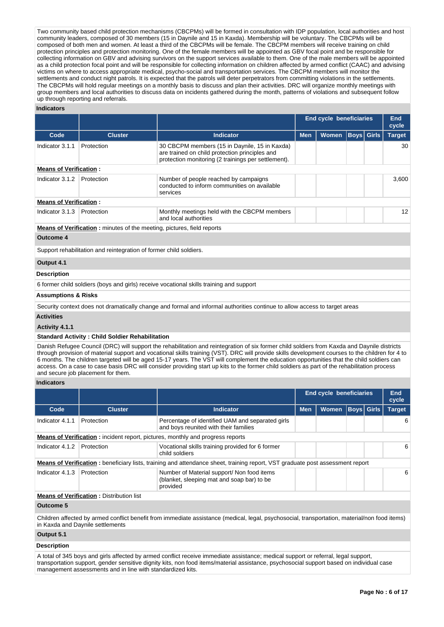Two community based child protection mechanisms (CBCPMs) will be formed in consultation with IDP population, local authorities and host community leaders, composed of 30 members (15 in Daynile and 15 in Kaxda). Membership will be voluntary. The CBCPMs will be composed of both men and women. At least a third of the CBCPMs will be female. The CBCPM members will receive training on child protection principles and protection monitoring. One of the female members will be appointed as GBV focal point and be responsible for collecting information on GBV and advising survivors on the support services available to them. One of the male members will be appointed as a child protection focal point and will be responsible for collecting information on children affected by armed conflict (CAAC) and advising victims on where to access appropriate medical, psycho-social and transportation services. The CBCPM members will monitor the settlements and conduct night patrols. It is expected that the patrols will deter perpetrators from committing violations in the settlements. The CBCPMs will hold regular meetings on a monthly basis to discuss and plan their activities. DRC will organize monthly meetings with group members and local authorities to discuss data on incidents gathered during the month, patterns of violations and subsequent follow up through reporting and referrals.

## **Indicators**

|                                |                                                                               |                                                                                                                                                        | End cycle beneficiaries |              |  | End<br>cycle      |               |
|--------------------------------|-------------------------------------------------------------------------------|--------------------------------------------------------------------------------------------------------------------------------------------------------|-------------------------|--------------|--|-------------------|---------------|
| Code                           | <b>Cluster</b>                                                                | <b>Indicator</b>                                                                                                                                       | <b>Men</b>              | <b>Women</b> |  | <b>Boys</b> Girls | <b>Target</b> |
| Indicator 3.1.1                | Protection                                                                    | 30 CBCPM members (15 in Daynile, 15 in Kaxda)<br>are trained on child protection principles and<br>protection monitoring (2 trainings per settlement). |                         |              |  |                   | 30            |
| <b>Means of Verification:</b>  |                                                                               |                                                                                                                                                        |                         |              |  |                   |               |
| Indicator 3.1.2                | Protection                                                                    | Number of people reached by campaigns<br>conducted to inform communities on available<br>services                                                      |                         |              |  |                   | 3,600         |
| <b>Means of Verification:</b>  |                                                                               |                                                                                                                                                        |                         |              |  |                   |               |
| Indicator 3.1.3                | Protection                                                                    | Monthly meetings held with the CBCPM members<br>and local authorities                                                                                  |                         |              |  |                   | 12            |
|                                | <b>Means of Verification:</b> minutes of the meeting, pictures, field reports |                                                                                                                                                        |                         |              |  |                   |               |
| Outcome 4                      |                                                                               |                                                                                                                                                        |                         |              |  |                   |               |
|                                | Support rehabilitation and reintegration of former child soldiers.            |                                                                                                                                                        |                         |              |  |                   |               |
| Output 4.1                     |                                                                               |                                                                                                                                                        |                         |              |  |                   |               |
| <b>Description</b>             |                                                                               |                                                                                                                                                        |                         |              |  |                   |               |
|                                |                                                                               | 6 former child soldiers (boys and girls) receive vocational skills training and support                                                                |                         |              |  |                   |               |
| <b>Assumptions &amp; Risks</b> |                                                                               |                                                                                                                                                        |                         |              |  |                   |               |

Security context does not dramatically change and formal and informal authorities continue to allow access to target areas

#### **Activities**

**Activity 4.1.1** 

## **Standard Activity : Child Soldier Rehabilitation**

Danish Refugee Council (DRC) will support the rehabilitation and reintegration of six former child soldiers from Kaxda and Daynile districts through provision of material support and vocational skills training (VST). DRC will provide skills development courses to the children for 4 to 6 months. The children targeted will be aged 15-17 years. The VST will complement the education opportunities that the child soldiers can access. On a case to case basis DRC will consider providing start up kits to the former child soldiers as part of the rehabilitation process and secure job placement for them.

#### **Indicators**

|                 |                                                 |                                                                                                                               | End cycle beneficiaries |              |                   | <b>End</b><br>cycle |               |  |  |  |
|-----------------|-------------------------------------------------|-------------------------------------------------------------------------------------------------------------------------------|-------------------------|--------------|-------------------|---------------------|---------------|--|--|--|
| Code            | <b>Cluster</b>                                  | <b>Indicator</b>                                                                                                              | <b>Men</b>              | <b>Women</b> | <b>Boys Girls</b> |                     | <b>Target</b> |  |  |  |
| Indicator 4.1.1 | Protection                                      | Percentage of identified UAM and separated girls<br>and boys reunited with their families                                     |                         |              |                   |                     | 6             |  |  |  |
|                 |                                                 | <b>Means of Verification:</b> incident report, pictures, monthly and progress reports                                         |                         |              |                   |                     |               |  |  |  |
| Indicator 4.1.2 | Protection                                      | Vocational skills training provided for 6 former<br>child soldiers                                                            |                         |              |                   |                     | 6             |  |  |  |
|                 |                                                 | Means of Verification: beneficiary lists, training and attendance sheet, training report, VST graduate post assessment report |                         |              |                   |                     |               |  |  |  |
| Indicator 4.1.3 | Protection                                      | Number of Material support/ Non food items<br>(blanket, sleeping mat and soap bar) to be<br>provided                          |                         |              |                   |                     | 6             |  |  |  |
|                 | <b>Means of Verification: Distribution list</b> |                                                                                                                               |                         |              |                   |                     |               |  |  |  |

#### **Outcome 5**

Children affected by armed conflict benefit from immediate assistance (medical, legal, psychosocial, transportation, material/non food items) in Kaxda and Daynile settlements

## **Output 5.1**

## **Description**

A total of 345 boys and girls affected by armed conflict receive immediate assistance; medical support or referral, legal support, transportation support, gender sensitive dignity kits, non food items/material assistance, psychosocial support based on individual case management assessments and in line with standardized kits.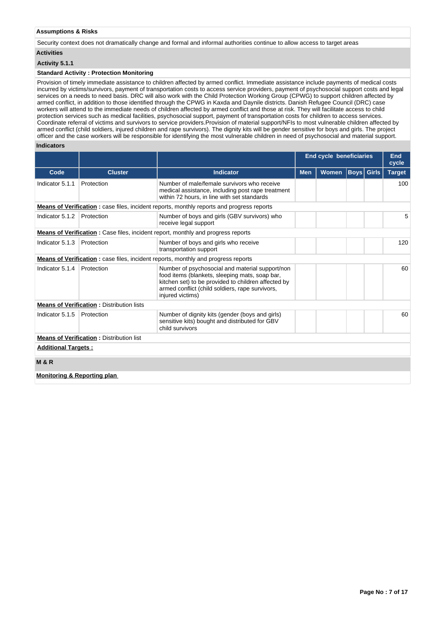## **Assumptions & Risks**

Security context does not dramatically change and formal and informal authorities continue to allow access to target areas

# **Activities**

# **Activity 5.1.1**

## **Standard Activity : Protection Monitoring**

Provision of timely immediate assistance to children affected by armed conflict. Immediate assistance include payments of medical costs incurred by victims/survivors, payment of transportation costs to access service providers, payment of psychosocial support costs and legal services on a needs to need basis. DRC will also work with the Child Protection Working Group (CPWG) to support children affected by armed conflict, in addition to those identified through the CPWG in Kaxda and Daynile districts. Danish Refugee Council (DRC) case workers will attend to the immediate needs of children affected by armed conflict and those at risk. They will facilitate access to child protection services such as medical facilities, psychosocial support, payment of transportation costs for children to access services. Coordinate referral of victims and survivors to service providers.Provision of material support/NFIs to most vulnerable children affected by armed conflict (child soldiers, injured children and rape survivors). The dignity kits will be gender sensitive for boys and girls. The project officer and the case workers will be responsible for identifying the most vulnerable children in need of psychosocial and material support.

## **Indicators**

|                                        |                                                  |                                                                                                                                                                                                                                 | <b>End cycle beneficiaries</b> |       |                   |  | End<br>cycle  |
|----------------------------------------|--------------------------------------------------|---------------------------------------------------------------------------------------------------------------------------------------------------------------------------------------------------------------------------------|--------------------------------|-------|-------------------|--|---------------|
| Code                                   | <b>Cluster</b>                                   | <b>Indicator</b>                                                                                                                                                                                                                | <b>Men</b>                     | Women | <b>Boys</b> Girls |  | <b>Target</b> |
| Indicator 5.1.1                        | Protection                                       | Number of male/female survivors who receive<br>medical assistance, including post rape treatment<br>within 72 hours, in line with set standards                                                                                 |                                |       |                   |  | 100           |
|                                        |                                                  | <b>Means of Verification:</b> case files, incident reports, monthly reports and progress reports                                                                                                                                |                                |       |                   |  |               |
| Indicator 5.1.2                        | Protection                                       | Number of boys and girls (GBV survivors) who<br>receive legal support                                                                                                                                                           |                                |       |                   |  | 5             |
|                                        |                                                  | <b>Means of Verification:</b> Case files, incident report, monthly and progress reports                                                                                                                                         |                                |       |                   |  |               |
| Indicator 5.1.3                        | Protection                                       | Number of boys and girls who receive<br>transportation support                                                                                                                                                                  |                                |       |                   |  | 120           |
|                                        |                                                  | <b>Means of Verification:</b> case files, incident reports, monthly and progress reports                                                                                                                                        |                                |       |                   |  |               |
| Indicator 5.1.4                        | Protection                                       | Number of psychosocial and material support/non<br>food items (blankets, sleeping mats, soap bar,<br>kitchen set) to be provided to children affected by<br>armed conflict (child soldiers, rape survivors,<br>injured victims) |                                |       |                   |  | 60            |
|                                        | <b>Means of Verification: Distribution lists</b> |                                                                                                                                                                                                                                 |                                |       |                   |  |               |
| Indicator 5.1.5                        | Protection                                       | Number of dignity kits (gender (boys and girls)<br>sensitive kits) bought and distributed for GBV<br>child survivors                                                                                                            |                                |       |                   |  | 60            |
|                                        | <b>Means of Verification: Distribution list</b>  |                                                                                                                                                                                                                                 |                                |       |                   |  |               |
| <b>Additional Targets:</b>             |                                                  |                                                                                                                                                                                                                                 |                                |       |                   |  |               |
| <b>M&amp;R</b>                         |                                                  |                                                                                                                                                                                                                                 |                                |       |                   |  |               |
| <b>Monitoring &amp; Reporting plan</b> |                                                  |                                                                                                                                                                                                                                 |                                |       |                   |  |               |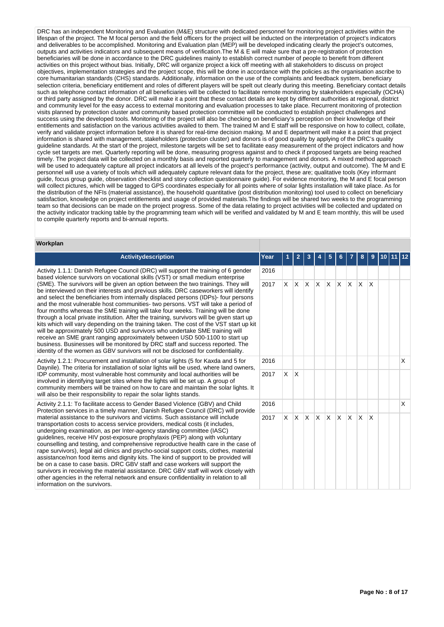DRC has an independent Monitoring and Evaluation (M&E) structure with dedicated personnel for monitoring project activities within the lifespan of the project. The M focal person and the field officers for the project will be inducted on the interpretation of project's indicators and deliverables to be accomplished. Monitoring and Evaluation plan (MEP) will be developed indicating clearly the project's outcomes, outputs and activities indicators and subsequent means of verification.The M & E will make sure that a pre-registration of protection beneficiaries will be done in accordance to the DRC guidelines mainly to establish correct number of people to benefit from different activities on this project without bias. Initially, DRC will organize project a kick off meeting with all stakeholders to discuss on project objectives, implementation strategies and the project scope, this will be done in accordance with the policies as the organisation ascribe to core humanitarian standards (CHS) standards. Additionally, information on the use of the complaints and feedback system, beneficiary selection criteria, beneficiary entitlement and roles of different players will be spelt out clearly during this meeting. Beneficiary contact details such as telephone contact information of all beneficiaries will be collected to facilitate remote monitoring by stakeholders especially (OCHA) or third party assigned by the donor. DRC will make it a point that these contact details are kept by different authorities at regional, district and community level for the easy access to external monitoring and evaluation processes to take place. Recurrent monitoring of protection visits planned by protection cluster and community based protection committee will be conducted to establish project challenges and success using the developed tools. Monitoring of the project will also be checking on beneficiary's perception on their knowledge of their entitlements and satisfaction on the various activities availed to them. The trained M and E staff will be responsive on how to collect, collate, verify and validate project information before it is shared for real-time decision making. M and E department will make it a point that project information is shared with management, stakeholders (protection cluster) and donors is of good quality by applying of the DRC's quality guideline standards. At the start of the project, milestone targets will be set to facilitate easy measurement of the project indicators and how cycle set targets are met. Quarterly reporting will be done, measuring progress against and to check if proposed targets are being reached timely. The project data will be collected on a monthly basis and reported quarterly to management and donors. A mixed method approach will be used to adequately capture all project indicators at all levels of the project's performance (activity, output and outcome). The M and E personnel will use a variety of tools which will adequately capture relevant data for the project, these are; qualitative tools (Key informant guide, focus group guide, observation checklist and story collection questionnaire guide). For evidence monitoring, the M and E focal person will collect pictures, which will be tagged to GPS coordinates especially for all points where of solar lights installation will take place. As for the distribution of the NFIs (material assistance), the household quantitative (post distribution monitoring) tool used to collect on beneficiary satisfaction, knowledge on project entitlements and usage of provided materials.The findings will be shared two weeks to the programming team so that decisions can be made on the project progress. Some of the data relating to project activities will be collected and updated on the activity indicator tracking table by the programming team which will be verified and validated by M and E team monthly, this will be used to compile quarterly reports and bi-annual reports.

### **Workplan**

| <b>Activitydescription</b>                                                                                                                                                                                                                                                                                                                                                                                                                                                                                                                                                                                                                                                                                                                                                                                                                                                                                                                                          | <b>Year</b> |          |              |          |       |              |     |    |              |                 |  |   |
|---------------------------------------------------------------------------------------------------------------------------------------------------------------------------------------------------------------------------------------------------------------------------------------------------------------------------------------------------------------------------------------------------------------------------------------------------------------------------------------------------------------------------------------------------------------------------------------------------------------------------------------------------------------------------------------------------------------------------------------------------------------------------------------------------------------------------------------------------------------------------------------------------------------------------------------------------------------------|-------------|----------|--------------|----------|-------|--------------|-----|----|--------------|-----------------|--|---|
|                                                                                                                                                                                                                                                                                                                                                                                                                                                                                                                                                                                                                                                                                                                                                                                                                                                                                                                                                                     |             |          | 2            | 3        |       | 5            | 6   |    |              |                 |  |   |
| Activity 1.1.1: Danish Refugee Council (DRC) will support the training of 6 gender<br>based violence survivors on vocational skills (VST) or small medium enterprise                                                                                                                                                                                                                                                                                                                                                                                                                                                                                                                                                                                                                                                                                                                                                                                                | 2016        |          |              |          |       |              |     |    |              |                 |  |   |
| (SME). The survivors will be given an option between the two trainings. They will<br>be interviewed on their interests and previous skills. DRC caseworkers will identify<br>and select the beneficiaries from internally displaced persons (IDPs)- four persons<br>and the most vulnerable host communities- two persons. VST will take a period of<br>four months whereas the SME training will take four weeks. Training will be done<br>through a local private institution. After the training, survivors will be given start up<br>kits which will vary depending on the training taken. The cost of the VST start up kit<br>will be approximately 500 USD and survivors who undertake SME training will<br>receive an SME grant ranging approximately between USD 500-1100 to start up<br>business. Businesses will be monitored by DRC staff and success reported. The<br>identity of the women as GBV survivors will not be disclosed for confidentiality. | 2017        | X.       | $\mathsf{X}$ | X.       | X X X |              |     | X. | X.           | ΙX              |  |   |
| Activity 1.2.1: Procurement and installation of solar lights (5 for Kaxda and 5 for<br>Daynile). The criteria for installation of solar lights will be used, where land owners,                                                                                                                                                                                                                                                                                                                                                                                                                                                                                                                                                                                                                                                                                                                                                                                     | 2016        |          |              |          |       |              |     |    |              |                 |  | X |
| IDP community, most vulnerable host community and local authorities will be<br>involved in identifying target sites where the lights will be set up. A group of<br>community members will be trained on how to care and maintain the solar lights. It<br>will also be their responsibility to repair the solar lights stands.                                                                                                                                                                                                                                                                                                                                                                                                                                                                                                                                                                                                                                       | 2017        | <b>X</b> | X            |          |       |              |     |    |              |                 |  |   |
| Activity 2.1.1: To facilitate access to Gender Based Violence (GBV) and Child<br>Protection services in a timely manner, Danish Refugee Council (DRC) will provide                                                                                                                                                                                                                                                                                                                                                                                                                                                                                                                                                                                                                                                                                                                                                                                                  | 2016        |          |              |          |       |              |     |    |              |                 |  | x |
| material assistance to the survivors and victims. Such assistance will include<br>transportation costs to access service providers, medical costs (it includes,<br>undergoing examination, as per Inter-agency standing committee (IASC)<br>guidelines, receive HIV post-exposure prophylaxis (PEP) along with voluntary<br>counselling and testing, and comprehensive reproductive health care in the case of<br>rape survivors), legal aid clinics and psycho-social support costs, clothes, material<br>assistance/non food items and dignity kits. The kind of support to be provided will<br>be on a case to case basis. DRC GBV staff and case workers will support the<br>survivors in receiving the material assistance. DRC GBV staff will work closely with<br>other agencies in the referral network and ensure confidentiality in relation to all<br>information on the survivors.                                                                      | 2017        | X.       | IX.          | <b>X</b> | IX.   | $\mathsf{X}$ | ΙX. | X  | <sup>X</sup> | $\mathsf{\chi}$ |  |   |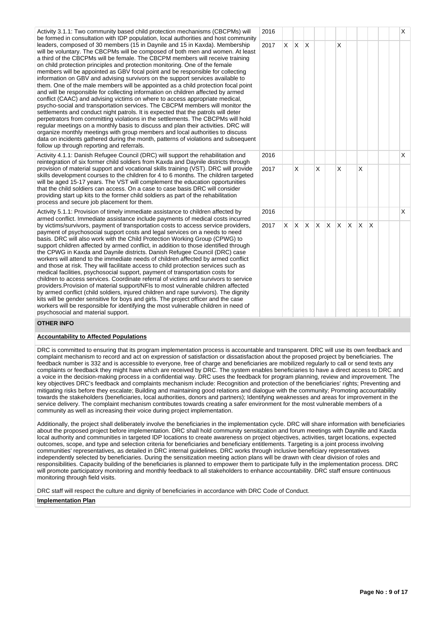Activity 3.1.1: Two community based child protection mechanisms (CBCPMs) will be formed in consultation with IDP population, local authorities and host community leaders, composed of 30 members (15 in Daynile and 15 in Kaxda). Membership will be voluntary. The CBCPMs will be composed of both men and women. At least a third of the CBCPMs will be female. The CBCPM members will receive training on child protection principles and protection monitoring. One of the female members will be appointed as GBV focal point and be responsible for collecting information on GBV and advising survivors on the support services available to them. One of the male members will be appointed as a child protection focal point and will be responsible for collecting information on children affected by armed conflict (CAAC) and advising victims on where to access appropriate medical, psycho-social and transportation services. The CBCPM members will monitor the settlements and conduct night patrols. It is expected that the patrols will deter perpetrators from committing violations in the settlements. The CBCPMs will hold regular meetings on a monthly basis to discuss and plan their activities. DRC will organize monthly meetings with group members and local authorities to discuss data on incidents gathered during the month, patterns of violations and subsequent follow up through reporting and referrals.

Activity 4.1.1: Danish Refugee Council (DRC) will support the rehabilitation and reintegration of six former child soldiers from Kaxda and Daynile districts through provision of material support and vocational skills training (VST). DRC will provide skills development courses to the children for 4 to 6 months. The children targeted will be aged 15-17 years. The VST will complement the education opportunities that the child soldiers can access. On a case to case basis DRC will consider providing start up kits to the former child soldiers as part of the rehabilitation process and secure job placement for them.

Activity 5.1.1: Provision of timely immediate assistance to children affected by armed conflict. Immediate assistance include payments of medical costs incurred by victims/survivors, payment of transportation costs to access service providers, payment of psychosocial support costs and legal services on a needs to need basis. DRC will also work with the Child Protection Working Group (CPWG) to support children affected by armed conflict, in addition to those identified through the CPWG in Kaxda and Daynile districts. Danish Refugee Council (DRC) case workers will attend to the immediate needs of children affected by armed conflict and those at risk. They will facilitate access to child protection services such as medical facilities, psychosocial support, payment of transportation costs for children to access services. Coordinate referral of victims and survivors to service providers.Provision of material support/NFIs to most vulnerable children affected by armed conflict (child soldiers, injured children and rape survivors). The dignity kits will be gender sensitive for boys and girls. The project officer and the case workers will be responsible for identifying the most vulnerable children in need of psychosocial and material support.



## **OTHER INFO**

## **Accountability to Affected Populations**

DRC is committed to ensuring that its program implementation process is accountable and transparent. DRC will use its own feedback and complaint mechanism to record and act on expression of satisfaction or dissatisfaction about the proposed project by beneficiaries. The feedback number is 332 and is accessible to everyone, free of charge and beneficiaries are mobilized regularly to call or send texts any complaints or feedback they might have which are received by DRC. The system enables beneficiaries to have a direct access to DRC and a voice in the decision-making process in a confidential way. DRC uses the feedback for program planning, review and improvement. The key objectives DRC's feedback and complaints mechanism include: Recognition and protection of the beneficiaries' rights; Preventing and mitigating risks before they escalate; Building and maintaining good relations and dialogue with the community; Promoting accountability towards the stakeholders (beneficiaries, local authorities, donors and partners); Identifying weaknesses and areas for improvement in the service delivery. The complaint mechanism contributes towards creating a safer environment for the most vulnerable members of a community as well as increasing their voice during project implementation.

Additionally, the project shall deliberately involve the beneficiaries in the implementation cycle. DRC will share information with beneficiaries about the proposed project before implementation. DRC shall hold community sensitization and forum meetings with Daynille and Kaxda local authority and communities in targeted IDP locations to create awareness on project objectives, activities, target locations, expected outcomes, scope, and type and selection criteria for beneficiaries and beneficiary entitlements. Targeting is a joint process involving communities' representatives, as detailed in DRC internal guidelines. DRC works through inclusive beneficiary representatives independently selected by beneficiaries. During the sensitization meeting action plans will be drawn with clear division of roles and responsibilities. Capacity building of the beneficiaries is planned to empower them to participate fully in the implementation process. DRC will promote participatory monitoring and monthly feedback to all stakeholders to enhance accountability. DRC staff ensure continuous monitoring through field visits.

DRC staff will respect the culture and dignity of beneficiaries in accordance with DRC Code of Conduct.

#### **Implementation Plan**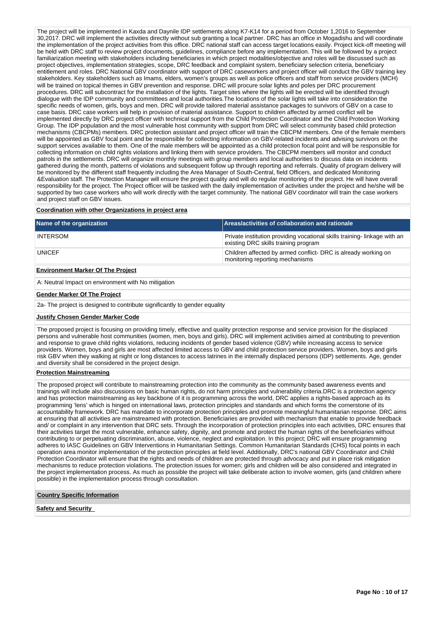The project will be implemented in Kaxda and Daynile IDP settlements along K7-K14 for a period from October 1,2016 to September 30,2017. DRC will implement the activities directly without sub granting a local partner. DRC has an office in Mogadishu and will coordinate the implementation of the project activities from this office. DRC national staff can access target locations easily. Project kick-off meeting will be held with DRC staff to review project documents, guidelines, compliance before any implementation. This will be followed by a project familiarization meeting with stakeholders including beneficiaries in which project modalities/objective and roles will be discussed such as project objectives, implementation strategies, scope, DRC feedback and complaint system, beneficiary selection criteria, beneficiary entitlement and roles. DRC National GBV coordinator with support of DRC caseworkers and project officer will conduct the GBV training key stakeholders. Key stakeholders such as Imams, elders, women's groups as well as police officers and staff from service providers (MCH) will be trained on topical themes in GBV prevention and response. DRC will procure solar lights and poles per DRC procurement procedures. DRC will subcontract for the installation of the lights. Target sites where the lights will be erected will be identified through dialogue with the IDP community and committees and local authorities.The locations of the solar lights will take into consideration the specific needs of women, girls, boys and men. DRC will provide tailored material assistance packages to survivors of GBV on a case to case basis. DRC case workers will help in provision of material assistance. Support to children affected by armed conflict will be implemented directly by DRC project officer with technical support from the Child Protection Coordinator and the Child Protection Working Group. The IDP population and the most vulnerable host community with support from DRC will select community based child protection mechanisms (CBCPMs) members. DRC protection assistant and project officer will train the CBCPM members. One of the female members will be appointed as GBV focal point and be responsible for collecting information on GBV-related incidents and advising survivors on the support services available to them. One of the male members will be appointed as a child protection focal point and will be responsible for collecting information on child rights violations and linking them with service providers. The CBCPM members will monitor and conduct patrols in the settlements. DRC will organize monthly meetings with group members and local authorities to discuss data on incidents gathered during the month, patterns of violations and subsequent follow up through reporting and referrals. Quality of program delivery will be monitored by the different staff frequently including the Area Manager of South-Central, field Officers, and dedicated Monitoring &Evaluation staff. The Protection Manager will ensure the project quality and will do regular monitoring of the project. He will have overall responsibility for the project. The Project officer will be tasked with the daily implementation of activities under the project and he/she will be supported by two case workers who will work directly with the target community. The national GBV coordinator will train the case workers and project staff on GBV issues.

### **Coordination with other Organizations in project area**

| Name of the organization                 | Areas/activities of collaboration and rationale                                                                  |
|------------------------------------------|------------------------------------------------------------------------------------------------------------------|
| <b>INTERSOM</b>                          | Private institution providing vocational skills training-linkage with an<br>existing DRC skills training program |
| <b>UNICEF</b>                            | Children affected by armed conflict-DRC is already working on<br>monitoring reporting mechanisms                 |
| <b>Environment Marker Of The Project</b> |                                                                                                                  |

A: Neutral Impact on environment with No mitigation

#### **Gender Marker Of The Project**

2a- The project is designed to contribute significantly to gender equality

#### **Justify Chosen Gender Marker Code**

The proposed project is focusing on providing timely, effective and quality protection response and service provision for the displaced persons and vulnerable host communities (women, men, boys and girls). DRC will implement activities aimed at contributing to prevention and response to grave child rights violations, reducing incidents of gender based violence (GBV) while increasing access to service providers. Women, boys and girls are most affected limited access to GBV and child protection service providers. Women, boys and girls risk GBV when they walking at night or long distances to access latrines in the internally displaced persons (IDP) settlements. Age, gender and diversity shall be considered in the project design.

## **Protection Mainstreaming**

The proposed project will contribute to mainstreaming protection into the community as the community based awareness events and trainings will include also discussions on basic human rights, do not harm principles and vulnerability criteria.DRC is a protection agency and has protection mainstreaming as key backbone of it is programming across the world, DRC applies a rights-based approach as its programming 'lens' which is hinged on international laws, protection principles and standards and which forms the cornerstone of its accountability framework. DRC has mandate to incorporate protection principles and promote meaningful humanitarian response. DRC aims at ensuring that all activities are mainstreamed with protection. Beneficiaries are provided with mechanism that enable to provide feedback and/ or complaint in any intervention that DRC sets. Through the incorporation of protection principles into each activities, DRC ensures that their activities target the most vulnerable, enhance safety, dignity, and promote and protect the human rights of the beneficiaries without contributing to or perpetuating discrimination, abuse, violence, neglect and exploitation. In this project; DRC will ensure programming adheres to IASC Guidelines on GBV Interventions in Humanitarian Settings. Common Humanitarian Standards (CHS) focal points in each operation area monitor implementation of the protection principles at field level. Additionally, DRC's national GBV Coordinator and Child Protection Coordinator will ensure that the rights and needs of children are protected through advocacy and put in place risk mitigation mechanisms to reduce protection violations. The protection issues for women; girls and children will be also considered and integrated in the project implementation process. As much as possible the project will take deliberate action to involve women, girls (and children where possible) in the implementation process through consultation.

#### **Country Specific Information**

**Safety and Security**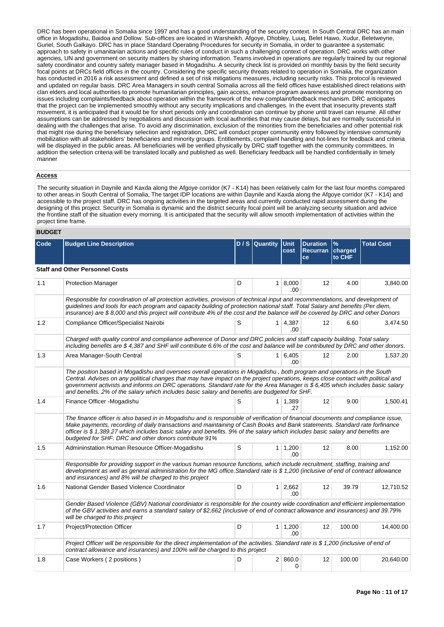DRC has been operational in Somalia since 1997 and has a good understanding of the security context. In South Central DRC has an main office in Mogadishu, Baidoa and Dollow. Sub-offices are located in Warsheikh, Afgoye, Dhobley, Luuq, Belet Hawo, Xudur, Beletweyne, Guriel, South Galkayo. DRC has in place Standard Operating Procedures for security in Somalia, in order to guarantee a systematic approach to safety in umanitarian actions and specific rules of conduct in such a challenging context of operation. DRC works with other agencies, UN and government on security matters by sharing information. Teams involved in operations are regularly trained by our regional safety coordinator and country safety manager based in Mogadishu. A security check list is provided on monthly basis by the field security focal points at DRCs field offices in the country. Considering the specific security threats related to operation in Somalia, the organization has conducted in 2016 a risk assessment and defined a set of risk mitigations measures, including security risks. This protocol is reviewed and updated on regular basis. DRC Area Managers in south central Somalia across all the field offices have established direct relations with clan elders and local authorities to promote humanitarian principles, gain access, enhance program awareness and promote monitoring on issues including complaints/feedback about operation within the framework of the new complaint/feedback mechanism. DRC anticipates that the project can be implemented smoothly without any security implications and challenges. In the event that insecurity prevents staff movement, it is anticipated that it would be for short periods only and coordination can continue by phone until travel can resume. All other assumptions can be addressed by negotiations and discussion with local authorities that may cause delays, but are normally successful in dealing with the challenges that arise. To avoid any discrimination, exclusion of the minorities from the beneficiaries and other potential risk that might rise during the beneficiary selection and registration, DRC will conduct proper community entry followed by intensive community mobilization with all stakeholders' beneficiaries and minority groups. Entitlements, complaint handling and hot-lines for feedback and criteria will be displayed in the public areas. All beneficiaries will be verified physically by DRC staff together with the community committees. In addition the selection criteria will be translated locally and published as well. Beneficiary feedback will be handled confidentially in timely manner

## **Access**

The security situation in Daynile and Kaxda along the Afgoye corridor (K7 - K14) has been relatively calm for the last four months compared to other areas in South Central of Somalia, The target IDP locations are within Daynile and Kaxda along the Afgoye corridor (K7 - K14) and accessible to the project staff. DRC has ongoing activities in the targeted areas and currently conducted rapid assessment during the designing of this project. Security in Somalia is dynamic and the district security focal point will be analyzing security situation and advice the frontline staff of the situation every morning. It is anticipated that the security will allow smooth implementation of activities within the project time frame.

## **BUDGET**

| Code | <b>Budget Line Description</b>                                                                                                                                                                                                                                                                                                                                                                                                                                                                |   | D / S   Quantity | <b>Unit</b><br>cost           | <b>Duration</b><br>Recurran charged<br><b>ce</b> | $\%$<br>to CHF | <b>Total Cost</b> |
|------|-----------------------------------------------------------------------------------------------------------------------------------------------------------------------------------------------------------------------------------------------------------------------------------------------------------------------------------------------------------------------------------------------------------------------------------------------------------------------------------------------|---|------------------|-------------------------------|--------------------------------------------------|----------------|-------------------|
|      | <b>Staff and Other Personnel Costs</b>                                                                                                                                                                                                                                                                                                                                                                                                                                                        |   |                  |                               |                                                  |                |                   |
| 1.1  | <b>Protection Manager</b>                                                                                                                                                                                                                                                                                                                                                                                                                                                                     | D |                  | $1 \, 8,000$<br>.00           | 12                                               | 4.00           | 3,840.00          |
|      | Responsible for coordination of all protection activities, provision of technical input and recommendations, and development of<br>guidelines and tools for each program and capacity building of protection national staff. Total Salary and benefits (Per diem,<br>insurance) are \$8,000 and this project will contribute 4% of the cost and the balance will be covered by DRC and other Donors                                                                                           |   |                  |                               |                                                  |                |                   |
| 1.2  | Compliance Officer/Specialist Nairobi                                                                                                                                                                                                                                                                                                                                                                                                                                                         | S |                  | $1 \mid 4,387$<br>.00         | $12 \overline{ }$                                | 6.60           | 3,474.50          |
|      | Charged with quality control and compliance adherence of Donor and DRC policies and staff capacity building. Total salary<br>including benefits are \$4,387 and SHF will contribute 6.6% of the cost and balance will be contributed by DRC and other donors.                                                                                                                                                                                                                                 |   |                  |                               |                                                  |                |                   |
| 1.3  | Area Manager-South Central                                                                                                                                                                                                                                                                                                                                                                                                                                                                    | S |                  | 1 6.405<br>.00.               | 12                                               | 2.00           | 1,537.20          |
|      | The position based in Mogadishu and oversees overall operations in Mogadishu, both program and operations in the South<br>Central. Advises on any political changes that may have impact on the project operations, keeps close contact with political and<br>government activists and informs on DRC operations. Standard rate for the Area Manager is \$ 6,405 which includes basic salary<br>and benefits. 2% of the salary which includes basic salary and benefits are budgeted for SHF. |   |                  |                               |                                                  |                |                   |
| 1.4  | Finance Officer - Mogadishu                                                                                                                                                                                                                                                                                                                                                                                                                                                                   | S |                  | $1 \mid 1,389$<br>.27         | 12                                               | 9.00           | 1,500.41          |
|      | The finance officer is also based in in Mogadishu and is responsible of verification of financial documents and compliance issue,<br>Make payments, recording of daily transactions and maintaining of Cash Books and Bank statements. Standard rate forfinance<br>officer is \$1,389.27 which includes basic salary and benefits. 9% of the salary which includes basic salary and benefits are<br>budgeted for SHF. DRC and other donors contribute 91%                                     |   |                  |                               |                                                  |                |                   |
| 1.5  | Admininstation Human Resource Officer-Mogadishu                                                                                                                                                                                                                                                                                                                                                                                                                                               | S |                  | $1 \mid 1,200$<br>.00.        | 12                                               | 8.00           | 1,152.00          |
|      | Responsible for providing support in the various human resource functions, which include recruitment, staffing, training and<br>development as well as general administration for the MG office.Standard rate is \$1,200 (inclusive of end of contract allowance<br>and insurances) and 8% will be charged to this project                                                                                                                                                                    |   |                  |                               |                                                  |                |                   |
| 1.6  | National Gender Based Violence Coordinator                                                                                                                                                                                                                                                                                                                                                                                                                                                    | D |                  | $1 \overline{)2,662}$<br>.00. | 12                                               | 39.79          | 12,710.52         |
|      | Gender Based Violence (GBV) National coordiniator is responsible for the country wide coordination and efficient implementation<br>of the GBV activities and earns a standard salary of \$2,662 (inclusive of end of contract allowance and insurances) and 39.79%<br>will be charged to this project                                                                                                                                                                                         |   |                  |                               |                                                  |                |                   |
| 1.7  | Project/Protection Officer                                                                                                                                                                                                                                                                                                                                                                                                                                                                    | D |                  | $1 \mid 1,200$<br>.00.        | 12                                               | 100.00         | 14,400.00         |
|      | Project Officer will be responsible for the direct implementation of the activities. Standard rate is \$1,200 (inclusive of end of<br>contract allowance and insurances) and 100% will be charged to this project                                                                                                                                                                                                                                                                             |   |                  |                               |                                                  |                |                   |
| 1.8  | Case Workers (2 positions)                                                                                                                                                                                                                                                                                                                                                                                                                                                                    | D |                  | 2   860.0<br>$\Omega$         | 12                                               | 100.00         | 20,640.00         |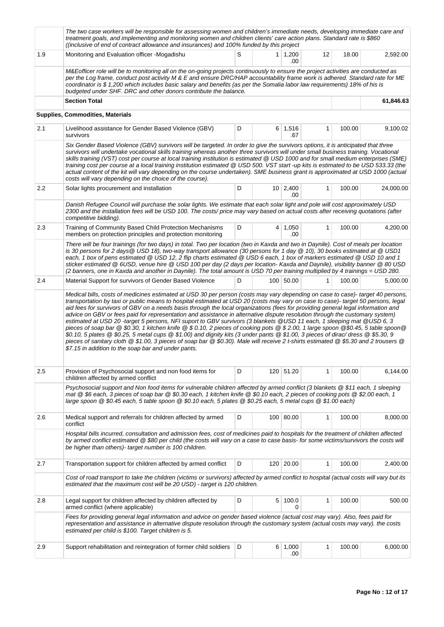|                  | The two case workers will be responsible for assessing women and children's immediate needs, developing immediate care and<br>treatment goals, and implementing and monitoring women and children clients' care action plans. Standard rate is \$860<br>((inclusive of end of contract allowance and insurances) and 100% funded by this project                                                                                                                                                                                                                                                                                                                                                                                                                                                                                                                                                                                                                                                    |   |                  |                        |              |        |           |  |  |  |  |
|------------------|-----------------------------------------------------------------------------------------------------------------------------------------------------------------------------------------------------------------------------------------------------------------------------------------------------------------------------------------------------------------------------------------------------------------------------------------------------------------------------------------------------------------------------------------------------------------------------------------------------------------------------------------------------------------------------------------------------------------------------------------------------------------------------------------------------------------------------------------------------------------------------------------------------------------------------------------------------------------------------------------------------|---|------------------|------------------------|--------------|--------|-----------|--|--|--|--|
| 1.9              | Monitoring and Evaluation officer -Mogadishu                                                                                                                                                                                                                                                                                                                                                                                                                                                                                                                                                                                                                                                                                                                                                                                                                                                                                                                                                        | S |                  | $1 \mid 1,200$<br>.00  | 12           | 18.00  | 2,592.00  |  |  |  |  |
|                  | M&Eofficer role will be to monitoring all on the on-going projects continuously to ensure the project activities are conducted as<br>per the Log frame, conduct post activity M & E and ensure DRC/HAP accountability frame work is adhered. Standard rate for ME<br>coordinator is \$1,200 which includes basic salary and benefits (as per the Somalia labor law requirements) 18% of his is<br>budgeted under SHF. DRC and other donors contribute the balance.                                                                                                                                                                                                                                                                                                                                                                                                                                                                                                                                  |   |                  |                        |              |        |           |  |  |  |  |
|                  | <b>Section Total</b>                                                                                                                                                                                                                                                                                                                                                                                                                                                                                                                                                                                                                                                                                                                                                                                                                                                                                                                                                                                |   |                  |                        |              |        | 61,846.63 |  |  |  |  |
|                  | Supplies, Commodities, Materials                                                                                                                                                                                                                                                                                                                                                                                                                                                                                                                                                                                                                                                                                                                                                                                                                                                                                                                                                                    |   |                  |                        |              |        |           |  |  |  |  |
| 2.1              | Livelihood assistance for Gender Based Violence (GBV)<br>survivors                                                                                                                                                                                                                                                                                                                                                                                                                                                                                                                                                                                                                                                                                                                                                                                                                                                                                                                                  | D |                  | $6 \mid 1,516$<br>.67  | $\mathbf{1}$ | 100.00 | 9,100.02  |  |  |  |  |
|                  | Six Gender Based Violence (GBV) survivors will be targeted. In order to give the survivors options, it is anticipated that three<br>survivors will undertake vocational skills training whereas another three survivors will under small business training. Vocational<br>skills training (VST) cost per course at local training institution is estimated @ USD 1000 and for small medium enterprises (SME)<br>training cost per course at a local training institution estimated @ USD 500. VST start -up kits is estimated to be USD 533.33 (the<br>actual content of the kit will vary depending on the course undertaken). SME business grant is approximated at USD 1000 (actual<br>costs will vary depending on the choice of the course).                                                                                                                                                                                                                                                   |   |                  |                        |              |        |           |  |  |  |  |
| $2.2\phantom{0}$ | Solar lights procurement and installation                                                                                                                                                                                                                                                                                                                                                                                                                                                                                                                                                                                                                                                                                                                                                                                                                                                                                                                                                           | D |                  | $10 \mid 2,400$<br>.00 | 1            | 100.00 | 24,000.00 |  |  |  |  |
|                  | Danish Refugee Council will purchase the solar lights. We estimate that each solar light and pole will cost approximately USD<br>2300 and the installation fees will be USD 100. The costs/ price may vary based on actual costs after receiving quotations (after<br>competitive bidding).                                                                                                                                                                                                                                                                                                                                                                                                                                                                                                                                                                                                                                                                                                         |   |                  |                        |              |        |           |  |  |  |  |
| 2.3              | Training of Community Based Child Protection Mechanisms<br>members on protection principles and protection monitoring                                                                                                                                                                                                                                                                                                                                                                                                                                                                                                                                                                                                                                                                                                                                                                                                                                                                               | D |                  | $4 \mid 1,050$<br>.00  | $\mathbf{1}$ | 100.00 | 4,200.00  |  |  |  |  |
|                  | There will be four trainings (for two days) in total. Two per location (two in Kaxda and two in Daynile). Cost of meals per location<br>is 30 persons for 2 days @ USD 18), two-way transport allowance (30 persons for 1 day @ 10), 30 books estimated at @ USD1<br>each, 1 box of pens estimated @ USD 12, 2 flip charts estimated @ USD 6 each, 1 box of markers estimated @ USD 10 and 1<br>sticker estimated @ 6USD, venue hire @ USD 100 per day (2 days per location- Kaxda and Daynile), visibility banner @ 80 USD<br>(2 banners, one in Kaxda and another in Daynile). The total amount is USD 70 per training multiplied by 4 trainings = USD 280.                                                                                                                                                                                                                                                                                                                                       |   |                  |                        |              |        |           |  |  |  |  |
| 2.4              | Material Support for survivors of Gender Based Violence                                                                                                                                                                                                                                                                                                                                                                                                                                                                                                                                                                                                                                                                                                                                                                                                                                                                                                                                             | D |                  | 100 50.00              | 1            | 100.00 | 5,000.00  |  |  |  |  |
|                  | transportation by taxi or public means to hospital estimated at USD 20 (costs may vary on case to case)- target 50 persons, legal<br>aid fees for survivors of GBV on a needs basis through the local organizations (fees for providing general legal information and<br>advice on GBV or fees paid for representation and assistance in alternative dispute resolution through the customary system)<br>estimated at USD 20 -target 5 persons, NFI suport to GBV survivors (3 blankets @USD 11 each, 1 sleeping mat @USD 6, 3<br>pieces of soap bar @ \$0.30, 1 kitchen knife @ \$0.10, 2 pieces of cooking pots @ \$2.00, 1 large spoon @\$0.45, 5 table spoon@<br>\$0.10, 5 plates @ \$0.25, 5 metal cups @ \$1.00) and dignity kits (3 under pants @ \$1.00, 3 pieces of dirac/ dress @ \$5.30, 9<br>pieces of sanitary cloth @ \$1.00, 3 pieces of soap bar @ \$0.30). Male will receive 2 t-shirts estimated @ \$5.30 and 2 trousers @<br>\$7.15 in addition to the soap bar and under pants. |   |                  |                        |              |        |           |  |  |  |  |
| 2.5              | Provision of Psychosocial support and non food items for<br>children affected by armed conflict                                                                                                                                                                                                                                                                                                                                                                                                                                                                                                                                                                                                                                                                                                                                                                                                                                                                                                     | D |                  | 120 51.20              | 1            | 100.00 | 6,144.00  |  |  |  |  |
|                  | Psychosocial support and Non food items for vulnerable children affected by armed conflict (3 blankets @ \$11 each, 1 sleeping<br>mat @ \$6 each, 3 pieces of soap bar @ \$0.30 each, 1 kitchen knife @ \$0.10 each, 2 pieces of cooking pots @ \$2.00 each, 1<br>large spoon @ \$0.45 each, 5 table spoon @ \$0.10 each, 5 plates @ \$0.25 each, 5 metal cups @ \$1.00 each)                                                                                                                                                                                                                                                                                                                                                                                                                                                                                                                                                                                                                       |   |                  |                        |              |        |           |  |  |  |  |
| 2.6              | Medical support and referrals for children affected by armed<br>conflict                                                                                                                                                                                                                                                                                                                                                                                                                                                                                                                                                                                                                                                                                                                                                                                                                                                                                                                            | D |                  | 100 80.00              | 1            | 100.00 | 8,000.00  |  |  |  |  |
|                  | Hospital bills incurred, consultation and admission fees, cost of medicines paid to hospitals for the treatment of children affected<br>by armed conflict estimated @ \$80 per child (the costs will vary on a case to case basis- for some victims/survivors the costs will<br>be higher than others)- target number is 100 children.                                                                                                                                                                                                                                                                                                                                                                                                                                                                                                                                                                                                                                                              |   |                  |                        |              |        |           |  |  |  |  |
| 2.7              | Transportation support for children affected by armed conflict                                                                                                                                                                                                                                                                                                                                                                                                                                                                                                                                                                                                                                                                                                                                                                                                                                                                                                                                      | D | 120 <sub>1</sub> | 20.00                  | $\mathbf{1}$ | 100.00 | 2,400.00  |  |  |  |  |
|                  | Cost of road transport to take the children (victims or survivors) affected by armed conflict to hospital (actual costs will vary but its<br>estimated that the maximum cost will be 20 USD) - target is 120 children.                                                                                                                                                                                                                                                                                                                                                                                                                                                                                                                                                                                                                                                                                                                                                                              |   |                  |                        |              |        |           |  |  |  |  |
| 2.8              | Legal support for children affected by children affected by<br>armed conflict (where applicable)                                                                                                                                                                                                                                                                                                                                                                                                                                                                                                                                                                                                                                                                                                                                                                                                                                                                                                    | D |                  | 5 100.0<br>0           | $\mathbf{1}$ | 100.00 | 500.00    |  |  |  |  |
|                  | Fees for providing general legal information and advice on gender based violence (actual cost may vary). Also, fees paid for<br>representation and assistance in alternative dispute resolution through the customary system (actual costs may vary). the costs<br>estimated per child is \$100. Target children is 5.                                                                                                                                                                                                                                                                                                                                                                                                                                                                                                                                                                                                                                                                              |   |                  |                        |              |        |           |  |  |  |  |
| 2.9              | Support rehabilitation and reintegration of former child soldiers                                                                                                                                                                                                                                                                                                                                                                                                                                                                                                                                                                                                                                                                                                                                                                                                                                                                                                                                   | D |                  | 6 1,000<br>.00         | 1            | 100.00 | 6,000.00  |  |  |  |  |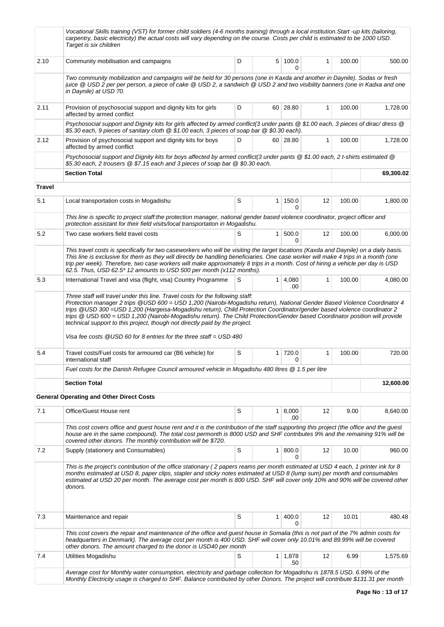|               | Vocational Skills training (VST) for former child soldiers (4-6 months training) through a local institution. Start -up kits (tailoring,<br>carpentry, basic electricity) the actual costs will vary depending on the course. Costs per child is estimated to be 1000 USD.<br>Target is six children                                                                                                                                                                                   |                    |                |                       |    |        |           |  |  |  |
|---------------|----------------------------------------------------------------------------------------------------------------------------------------------------------------------------------------------------------------------------------------------------------------------------------------------------------------------------------------------------------------------------------------------------------------------------------------------------------------------------------------|--------------------|----------------|-----------------------|----|--------|-----------|--|--|--|
| 2.10          | Community mobilisation and campaigns                                                                                                                                                                                                                                                                                                                                                                                                                                                   | D                  |                | 5 100.0<br>0          | 1  | 100.00 | 500.00    |  |  |  |
|               | Two community mobilization and campaigns will be held for 30 persons (one in Kaxda and another in Daynile). Sodas or fresh<br>juice @ USD2 per per person, a piece of cake @ USD2, a sandwich @ USD2 and two visibility banners (one in Kadxa and one<br>in Daynile) at USD 70.                                                                                                                                                                                                        |                    |                |                       |    |        |           |  |  |  |
| 2.11          | Provision of psychosocial support and dignity kits for girls<br>affected by armed conflict                                                                                                                                                                                                                                                                                                                                                                                             | D<br>60 28.80<br>1 |                |                       |    |        |           |  |  |  |
|               | Psychosocial support and Dignity kits for girls affected by armed conflict(3 under pants @ \$1.00 each, 3 pieces of dirac/ dress @<br>\$5.30 each, 9 pieces of sanitary cloth @ \$1.00 each, 3 pieces of soap bar @ \$0.30 each).                                                                                                                                                                                                                                                      |                    |                |                       |    |        |           |  |  |  |
| 2.12          | Provision of psychosocial support and dignity kits for boys<br>affected by armed conflict                                                                                                                                                                                                                                                                                                                                                                                              | D                  |                | 60 28.80              | 1  | 100.00 | 1,728.00  |  |  |  |
|               | Psychosocial support and Dignity kits for boys affected by armed conflict(3 under pants @ \$1.00 each, 2 t-shirts estimated @<br>\$5.30 each, 2 trousers @ \$7.15 each and 3 pieces of soap bar @ \$0.30 each.                                                                                                                                                                                                                                                                         |                    |                |                       |    |        |           |  |  |  |
|               | <b>Section Total</b>                                                                                                                                                                                                                                                                                                                                                                                                                                                                   |                    |                |                       |    |        | 69,300.02 |  |  |  |
| <b>Travel</b> |                                                                                                                                                                                                                                                                                                                                                                                                                                                                                        |                    |                |                       |    |        |           |  |  |  |
| 5.1           | Local transportation costs in Mogadishu                                                                                                                                                                                                                                                                                                                                                                                                                                                | S                  | 1 <sup>1</sup> | 150.0<br>0            | 12 | 100.00 | 1,800.00  |  |  |  |
|               | This line is specific to project staff:the protection manager, national gender based violence coordinator, project officer and<br>protection assistant for their field visits/local transportation in Mogadishu.                                                                                                                                                                                                                                                                       |                    |                |                       |    |        |           |  |  |  |
| 5.2           | Two case workers field travel costs                                                                                                                                                                                                                                                                                                                                                                                                                                                    | S                  | 1 <sup>1</sup> | 500.0<br><sup>0</sup> | 12 | 100.00 | 6,000.00  |  |  |  |
|               | This travel costs is specifically for two caseworkers who will be visiting the target locations (Kaxda and Daynile) on a daily basis.<br>This line is exclusive for them as they will directly be handling beneficiaries. One case worker will make 4 trips in a month (one<br>trip per week). Therefore, two case workers will make approximately 8 trips in a month. Cost of hiring a vehicle per day is USD<br>62.5. Thus, USD 62.5* 12 amounts to USD 500 per month (x112 months). |                    |                |                       |    |        |           |  |  |  |
| 5.3           | International Travel and visa (flight, visa) Country Programme                                                                                                                                                                                                                                                                                                                                                                                                                         | S                  |                | $1 \, 4,080$<br>.00   | 1  | 100.00 | 4,080.00  |  |  |  |
|               | trips @ USD 600 = USD 1,200 (Nairobi-Mogadishu return). The Child Protection/Gender based Coordinator position will provide<br>technical support to this project, though not directly paid by the project.<br>Visa fee costs $@$ USD 60 for 8 entries for the three staff = USD 480                                                                                                                                                                                                    |                    |                |                       |    |        |           |  |  |  |
| 5.4           | Travel costs/Fuel costs for armoured car (B6 vehicle) for<br>international staff                                                                                                                                                                                                                                                                                                                                                                                                       | S                  |                | 1 720.0<br>0          | 1  | 100.00 | 720.00    |  |  |  |
|               | Fuel costs for the Danish Refugee Council armoured vehicle in Mogadishu 480 litres @ 1.5 per litre                                                                                                                                                                                                                                                                                                                                                                                     |                    |                |                       |    |        |           |  |  |  |
|               | <b>Section Total</b>                                                                                                                                                                                                                                                                                                                                                                                                                                                                   |                    |                |                       |    |        | 12,600.00 |  |  |  |
|               | <b>General Operating and Other Direct Costs</b>                                                                                                                                                                                                                                                                                                                                                                                                                                        |                    |                |                       |    |        |           |  |  |  |
| 7.1           | Office/Guest House rent                                                                                                                                                                                                                                                                                                                                                                                                                                                                | S                  |                | $1 \, 8,000$<br>.00   | 12 | 9.00   | 8,640.00  |  |  |  |
|               | This cost covers office and guest house rent and it is the contribution of the staff supporting this project (the office and the guest<br>house are in the same compound). The total cost permonth is 8000 USD and SHF contributes 9% and the remaining 91% will be<br>covered other donors. The monthly contribution will be \$720.                                                                                                                                                   |                    |                |                       |    |        |           |  |  |  |
| 7.2           | Supply (stationery and Consumables)                                                                                                                                                                                                                                                                                                                                                                                                                                                    | S                  | 1 <sup>1</sup> | 800.0<br>0            | 12 | 10.00  | 960.00    |  |  |  |
|               | This is the project's contribution of the office stationary (2 papers reams per month estimated at USD 4 each, 1 printer ink for 8<br>months estimated at USD 8, paper clips, stapler and sticky notes estimated at USD 8 (lump sum) per month and consumables<br>estimated at USD 20 per month. The average cost per month is 800 USD. SHF will cover only 10% and 90% will be covered other<br>donors.                                                                               |                    |                |                       |    |        |           |  |  |  |
| 7.3           | Maintenance and repair                                                                                                                                                                                                                                                                                                                                                                                                                                                                 | S                  | $\mathbf{1}$   | 400.0<br>$\Omega$     | 12 | 10.01  | 480.48    |  |  |  |
|               | This cost covers the repair and maintenance of the office and guest house in Somalia (this is not part of the 7% admin costs for                                                                                                                                                                                                                                                                                                                                                       |                    |                |                       |    |        |           |  |  |  |
|               | headquarters in Denmark). The average cost per month is 400 USD. SHF will cover only 10.01% and 89.99% will be covered<br>other donors. The amount charged to the donor is USD40 per month                                                                                                                                                                                                                                                                                             |                    |                |                       |    |        |           |  |  |  |
| 7.4           | Utilities Mogadishu                                                                                                                                                                                                                                                                                                                                                                                                                                                                    | S                  |                | 1 1,878<br>.50        | 12 | 6.99   | 1,575.69  |  |  |  |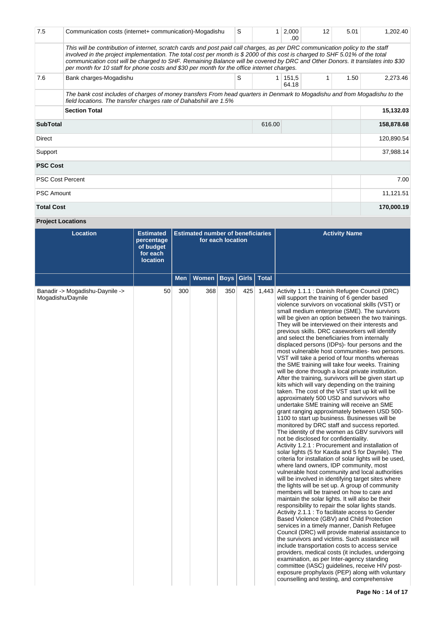| 7.5                       | Communication costs (internet+ communication)-Mogadishu                                                                                                                                                                                                                                                                                                                                                                                                                                      | S | 1 | 2,000<br>.00             | 12 | 5.01 | 1,202.40   |
|---------------------------|----------------------------------------------------------------------------------------------------------------------------------------------------------------------------------------------------------------------------------------------------------------------------------------------------------------------------------------------------------------------------------------------------------------------------------------------------------------------------------------------|---|---|--------------------------|----|------|------------|
|                           | This will be contribution of internet, scratch cards and post paid call charges, as per DRC communication policy to the staff<br>involved in the project implementation. The total cost per month is \$2000 of this cost is charged to SHF 5.01% of the total<br>communication cost will be charged to SHF. Remaining Balance will be covered by DRC and Other Donors. It translates into \$30<br>per month for 10 staff for phone costs and \$30 per month for the office internet charges. |   |   |                          |    |      |            |
| 7.6                       | Bank charges-Mogadishu                                                                                                                                                                                                                                                                                                                                                                                                                                                                       | S |   | $1 \mid 151, 5$<br>64.18 | 1  | 1.50 | 2,273.46   |
|                           | The bank cost includes of charges of money transfers From head quarters in Denmark to Mogadishu and from Mogadishu to the<br>field locations. The transfer charges rate of Dahabshiil are 1.5%                                                                                                                                                                                                                                                                                               |   |   |                          |    |      |            |
|                           | <b>Section Total</b>                                                                                                                                                                                                                                                                                                                                                                                                                                                                         |   |   |                          |    |      | 15,132.03  |
| <b>SubTotal</b><br>616.00 |                                                                                                                                                                                                                                                                                                                                                                                                                                                                                              |   |   |                          |    |      | 158,878.68 |
| Direct                    |                                                                                                                                                                                                                                                                                                                                                                                                                                                                                              |   |   |                          |    |      | 120,890.54 |
| Support                   |                                                                                                                                                                                                                                                                                                                                                                                                                                                                                              |   |   | 37,988.14                |    |      |            |
| <b>PSC Cost</b>           |                                                                                                                                                                                                                                                                                                                                                                                                                                                                                              |   |   |                          |    |      |            |
|                           | <b>PSC Cost Percent</b>                                                                                                                                                                                                                                                                                                                                                                                                                                                                      |   |   |                          |    |      | 7.00       |
| <b>PSC Amount</b>         |                                                                                                                                                                                                                                                                                                                                                                                                                                                                                              |   |   |                          |    |      | 11,121.51  |
| <b>Total Cost</b>         |                                                                                                                                                                                                                                                                                                                                                                                                                                                                                              |   |   |                          |    |      | 170,000.19 |

# **Project Locations**

| <b>Location</b>                                      | <b>Estimated</b><br>percentage<br>of budget<br>for each<br><b>location</b> |            | <b>Estimated number of beneficiaries</b> | for each location |              |              | <b>Activity Name</b>                                                                                                                                                                                                                                                                                                                                                                                                                                                                                                                                                                                                                                                                                                                                                                                                                                                                                                                                                                                                                                                                                                                                                                                                                                                                                                                                                                                                                                                                                                                                                                                                                                                                                                                                                                                                                                                                                                                                                                                                                                                                                                                                                                                                                                                             |
|------------------------------------------------------|----------------------------------------------------------------------------|------------|------------------------------------------|-------------------|--------------|--------------|----------------------------------------------------------------------------------------------------------------------------------------------------------------------------------------------------------------------------------------------------------------------------------------------------------------------------------------------------------------------------------------------------------------------------------------------------------------------------------------------------------------------------------------------------------------------------------------------------------------------------------------------------------------------------------------------------------------------------------------------------------------------------------------------------------------------------------------------------------------------------------------------------------------------------------------------------------------------------------------------------------------------------------------------------------------------------------------------------------------------------------------------------------------------------------------------------------------------------------------------------------------------------------------------------------------------------------------------------------------------------------------------------------------------------------------------------------------------------------------------------------------------------------------------------------------------------------------------------------------------------------------------------------------------------------------------------------------------------------------------------------------------------------------------------------------------------------------------------------------------------------------------------------------------------------------------------------------------------------------------------------------------------------------------------------------------------------------------------------------------------------------------------------------------------------------------------------------------------------------------------------------------------------|
|                                                      |                                                                            | <b>Men</b> | Women                                    | <b>Boys</b>       | <b>Girls</b> | <b>Total</b> |                                                                                                                                                                                                                                                                                                                                                                                                                                                                                                                                                                                                                                                                                                                                                                                                                                                                                                                                                                                                                                                                                                                                                                                                                                                                                                                                                                                                                                                                                                                                                                                                                                                                                                                                                                                                                                                                                                                                                                                                                                                                                                                                                                                                                                                                                  |
| Banadir -> Mogadishu-Daynile -><br>Mogadishu/Daynile | 50                                                                         | 300        | 368                                      | 350               | 425          |              | 1,443 Activity 1.1.1 : Danish Refugee Council (DRC)<br>will support the training of 6 gender based<br>violence survivors on vocational skills (VST) or<br>small medium enterprise (SME). The survivors<br>will be given an option between the two trainings.<br>They will be interviewed on their interests and<br>previous skills. DRC caseworkers will identify<br>and select the beneficiaries from internally<br>displaced persons (IDPs)- four persons and the<br>most vulnerable host communities- two persons.<br>VST will take a period of four months whereas<br>the SME training will take four weeks. Training<br>will be done through a local private institution.<br>After the training, survivors will be given start up<br>kits which will vary depending on the training<br>taken. The cost of the VST start up kit will be<br>approximately 500 USD and survivors who<br>undertake SME training will receive an SME<br>grant ranging approximately between USD 500-<br>1100 to start up business. Businesses will be<br>monitored by DRC staff and success reported.<br>The identity of the women as GBV survivors will<br>not be disclosed for confidentiality.<br>Activity 1.2.1 : Procurement and installation of<br>solar lights (5 for Kaxda and 5 for Daynile). The<br>criteria for installation of solar lights will be used.<br>where land owners, IDP community, most<br>vulnerable host community and local authorities<br>will be involved in identifying target sites where<br>the lights will be set up. A group of community<br>members will be trained on how to care and<br>maintain the solar lights. It will also be their<br>responsibility to repair the solar lights stands.<br>Activity 2.1.1 : To facilitate access to Gender<br>Based Violence (GBV) and Child Protection<br>services in a timely manner, Danish Refugee<br>Council (DRC) will provide material assistance to<br>the survivors and victims. Such assistance will<br>include transportation costs to access service<br>providers, medical costs (it includes, undergoing<br>examination, as per Inter-agency standing<br>committee (IASC) guidelines, receive HIV post-<br>exposure prophylaxis (PEP) along with voluntary<br>counselling and testing, and comprehensive |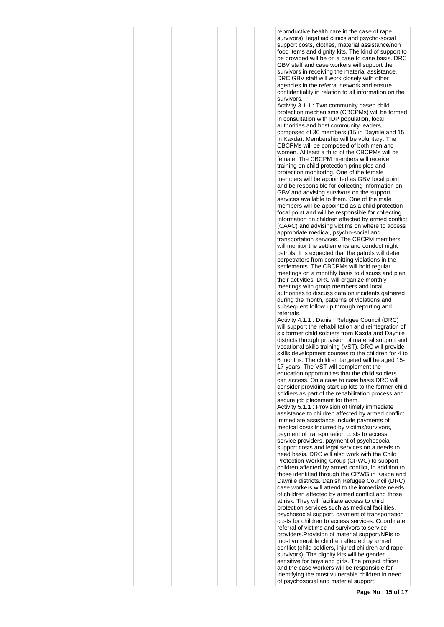reproductive health care in the case of rape survivors), legal aid clinics and psycho-social support costs, clothes, material assistance/non food items and dignity kits. The kind of support to be provided will be on a case to case basis. DRC GBV staff and case workers will support the survivors in receiving the material assistance. DRC GBV staff will work closely with other agencies in the referral network and ensure confidentiality in relation to all information on the survivors.

Activity 3.1.1 : Two community based child protection mechanisms (CBCPMs) will be formed in consultation with IDP population, local authorities and host community leaders, composed of 30 members (15 in Daynile and 15 in Kaxda). Membership will be voluntary. The CBCPMs will be composed of both men and women. At least a third of the CBCPMs will be female. The CBCPM members will receive training on child protection principles and protection monitoring. One of the female members will be appointed as GBV focal point and be responsible for collecting information on GBV and advising survivors on the support services available to them. One of the male members will be appointed as a child protection focal point and will be responsible for collecting information on children affected by armed conflict (CAAC) and advising victims on where to access appropriate medical, psycho-social and transportation services. The CBCPM members will monitor the settlements and conduct night patrols. It is expected that the patrols will deter perpetrators from committing violations in the settlements. The CBCPMs will hold regular meetings on a monthly basis to discuss and plan their activities. DRC will organize monthly meetings with group members and local authorities to discuss data on incidents gathered during the month, patterns of violations and subsequent follow up through reporting and referrals.

Activity 4.1.1 : Danish Refugee Council (DRC) will support the rehabilitation and reintegration of six former child soldiers from Kaxda and Daynile districts through provision of material support and vocational skills training (VST). DRC will provide skills development courses to the children for 4 to 6 months. The children targeted will be aged 15-

17 years. The VST will complement the education opportunities that the child soldiers can access. On a case to case basis DRC will consider providing start up kits to the former child soldiers as part of the rehabilitation process and secure job placement for them.

Activity 5.1.1 : Provision of timely immediate assistance to children affected by armed conflict. Immediate assistance include payments of medical costs incurred by victims/survivors, payment of transportation costs to access service providers, payment of psychosocial support costs and legal services on a needs to need basis. DRC will also work with the Child Protection Working Group (CPWG) to support children affected by armed conflict, in addition to those identified through the CPWG in Kaxda and Daynile districts. Danish Refugee Council (DRC) case workers will attend to the immediate needs of children affected by armed conflict and those at risk. They will facilitate access to child protection services such as medical facilities, psychosocial support, payment of transportation costs for children to access services. Coordinate referral of victims and survivors to service providers.Provision of material support/NFIs to most vulnerable children affected by armed conflict (child soldiers, injured children and rape survivors). The dignity kits will be gender sensitive for boys and girls. The project officer and the case workers will be responsible for identifying the most vulnerable children in need of psychosocial and material support.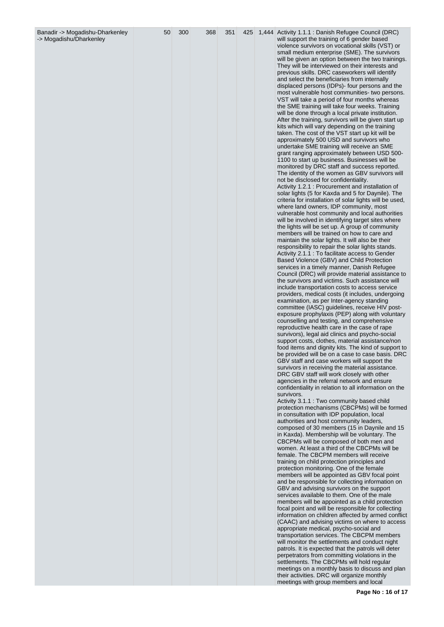| Banadir -> Mogadishu-Dharkenley<br>-> Mogadishu/Dharkenley | 50 | 300 | 368 | 351 | 425 | 1,444 Activity 1.1.1 : Danish Refugee Council (DRC)<br>will support the training of 6 gender based<br>violence survivors on vocational skills (VST) or<br>small medium enterprise (SME). The survivors |
|------------------------------------------------------------|----|-----|-----|-----|-----|--------------------------------------------------------------------------------------------------------------------------------------------------------------------------------------------------------|
|                                                            |    |     |     |     |     | will be given an option between the two trainings.<br>They will be interviewed on their interests and<br>previous skills. DRC caseworkers will identify                                                |
|                                                            |    |     |     |     |     | and select the beneficiaries from internally<br>displaced persons (IDPs)- four persons and the<br>most vulnerable host communities- two persons.                                                       |
|                                                            |    |     |     |     |     | VST will take a period of four months whereas<br>the SME training will take four weeks. Training<br>will be done through a local private institution.                                                  |
|                                                            |    |     |     |     |     | After the training, survivors will be given start up<br>kits which will vary depending on the training<br>taken. The cost of the VST start up kit will be<br>approximately 500 USD and survivors who   |
|                                                            |    |     |     |     |     | undertake SME training will receive an SME<br>grant ranging approximately between USD 500-<br>1100 to start up business. Businesses will be                                                            |
|                                                            |    |     |     |     |     | monitored by DRC staff and success reported.<br>The identity of the women as GBV survivors will<br>not be disclosed for confidentiality.                                                               |
|                                                            |    |     |     |     |     | Activity 1.2.1 : Procurement and installation of<br>solar lights (5 for Kaxda and 5 for Daynile). The<br>criteria for installation of solar lights will be used,                                       |
|                                                            |    |     |     |     |     | where land owners, IDP community, most<br>vulnerable host community and local authorities<br>will be involved in identifying target sites where<br>the lights will be set up. A group of community     |
|                                                            |    |     |     |     |     | members will be trained on how to care and<br>maintain the solar lights. It will also be their<br>responsibility to repair the solar lights stands.                                                    |
|                                                            |    |     |     |     |     | Activity 2.1.1 : To facilitate access to Gender<br>Based Violence (GBV) and Child Protection<br>services in a timely manner, Danish Refugee<br>Council (DRC) will provide material assistance to       |
|                                                            |    |     |     |     |     | the survivors and victims. Such assistance will<br>include transportation costs to access service<br>providers, medical costs (it includes, undergoing                                                 |
|                                                            |    |     |     |     |     | examination, as per Inter-agency standing<br>committee (IASC) guidelines, receive HIV post-<br>exposure prophylaxis (PEP) along with voluntary                                                         |
|                                                            |    |     |     |     |     | counselling and testing, and comprehensive<br>reproductive health care in the case of rape<br>survivors), legal aid clinics and psycho-social<br>support costs, clothes, material assistance/non       |
|                                                            |    |     |     |     |     | food items and dignity kits. The kind of support to<br>be provided will be on a case to case basis. DRC<br>GBV staff and case workers will support the                                                 |
|                                                            |    |     |     |     |     | survivors in receiving the material assistance.<br>DRC GBV staff will work closely with other<br>agencies in the referral network and ensure                                                           |
|                                                            |    |     |     |     |     | confidentiality in relation to all information on the<br>survivors.<br>Activity 3.1.1 : Two community based child<br>protection mechanisms (CBCPMs) will be formed                                     |
|                                                            |    |     |     |     |     | in consultation with IDP population, local<br>authorities and host community leaders,<br>composed of 30 members (15 in Daynile and 15                                                                  |
|                                                            |    |     |     |     |     | in Kaxda). Membership will be voluntary. The<br>CBCPMs will be composed of both men and<br>women. At least a third of the CBCPMs will be<br>female. The CBCPM members will receive                     |
|                                                            |    |     |     |     |     | training on child protection principles and<br>protection monitoring. One of the female<br>members will be appointed as GBV focal point                                                                |
|                                                            |    |     |     |     |     | and be responsible for collecting information on<br>GBV and advising survivors on the support<br>services available to them. One of the male<br>members will be appointed as a child protection        |
|                                                            |    |     |     |     |     | focal point and will be responsible for collecting<br>information on children affected by armed conflict<br>(CAAC) and advising victims on where to access                                             |
|                                                            |    |     |     |     |     | appropriate medical, psycho-social and<br>transportation services. The CBCPM members<br>will monitor the settlements and conduct night                                                                 |
|                                                            |    |     |     |     |     | patrols. It is expected that the patrols will deter<br>perpetrators from committing violations in the<br>settlements. The CBCPMs will hold regular                                                     |
|                                                            |    |     |     |     |     | meetings on a monthly basis to discuss and plan<br>their activities. DRC will organize monthly<br>meetings with group members and local                                                                |